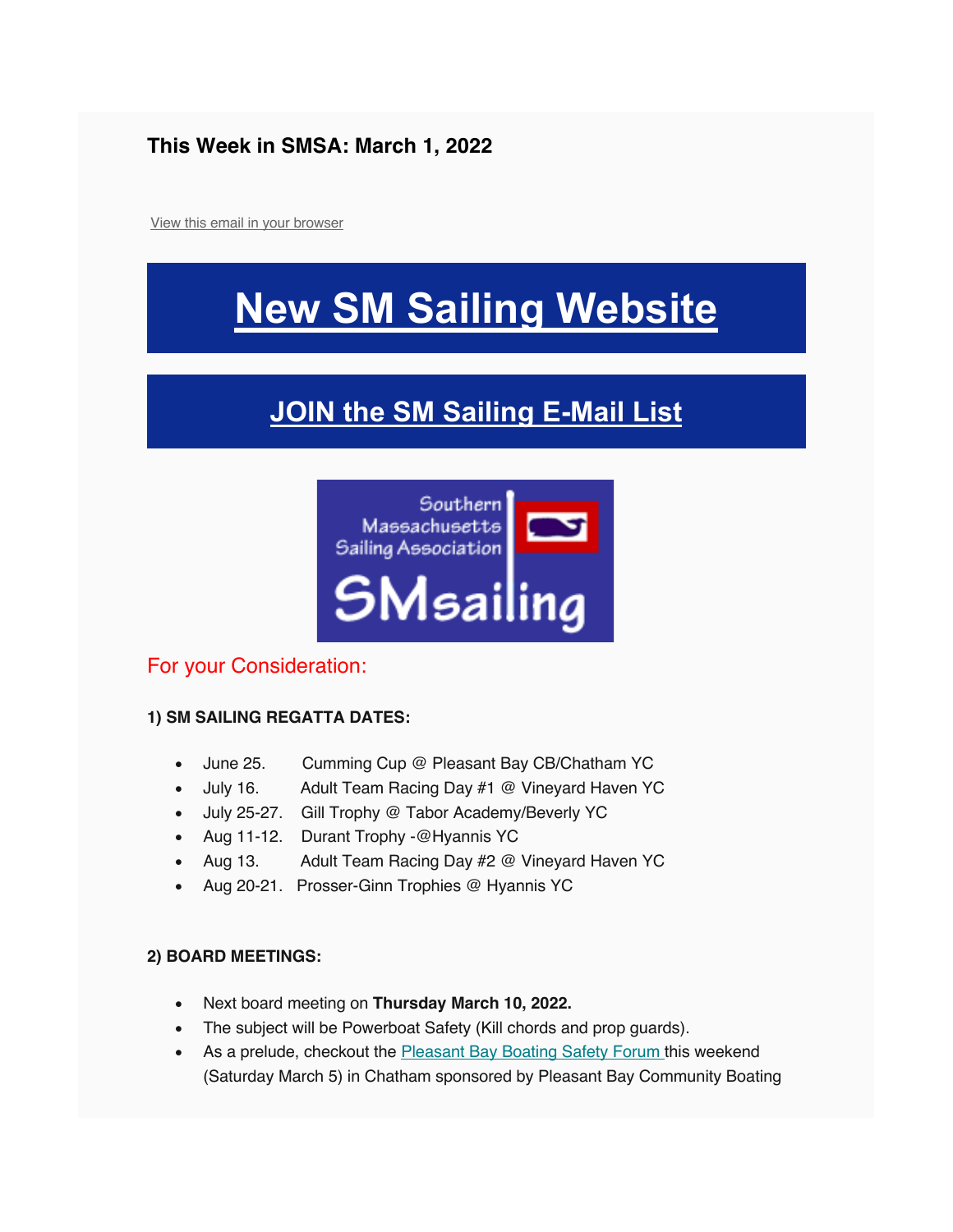#### **This Week in SMSA: March 1, 2022**

View this email in your browser

## **New SM Sailing Website**

### **JOIN the SM Sailing E-Mail List**



#### For your Consideration:

#### **1) SM SAILING REGATTA DATES:**

- June 25. Cumming Cup @ Pleasant Bay CB/Chatham YC
- July 16. Adult Team Racing Day #1 @ Vineyard Haven YC
- July 25-27. Gill Trophy @ Tabor Academy/Beverly YC
- Aug 11-12. Durant Trophy -@Hyannis YC
- Aug 13. Adult Team Racing Day #2 @ Vineyard Haven YC
- Aug 20-21. Prosser-Ginn Trophies @ Hyannis YC

#### **2) BOARD MEETINGS:**

- Next board meeting on **Thursday March 10, 2022.**
- The subject will be Powerboat Safety (Kill chords and prop guards).
- As a prelude, checkout the **Pleasant Bay Boating Safety Forum** this weekend (Saturday March 5) in Chatham sponsored by Pleasant Bay Community Boating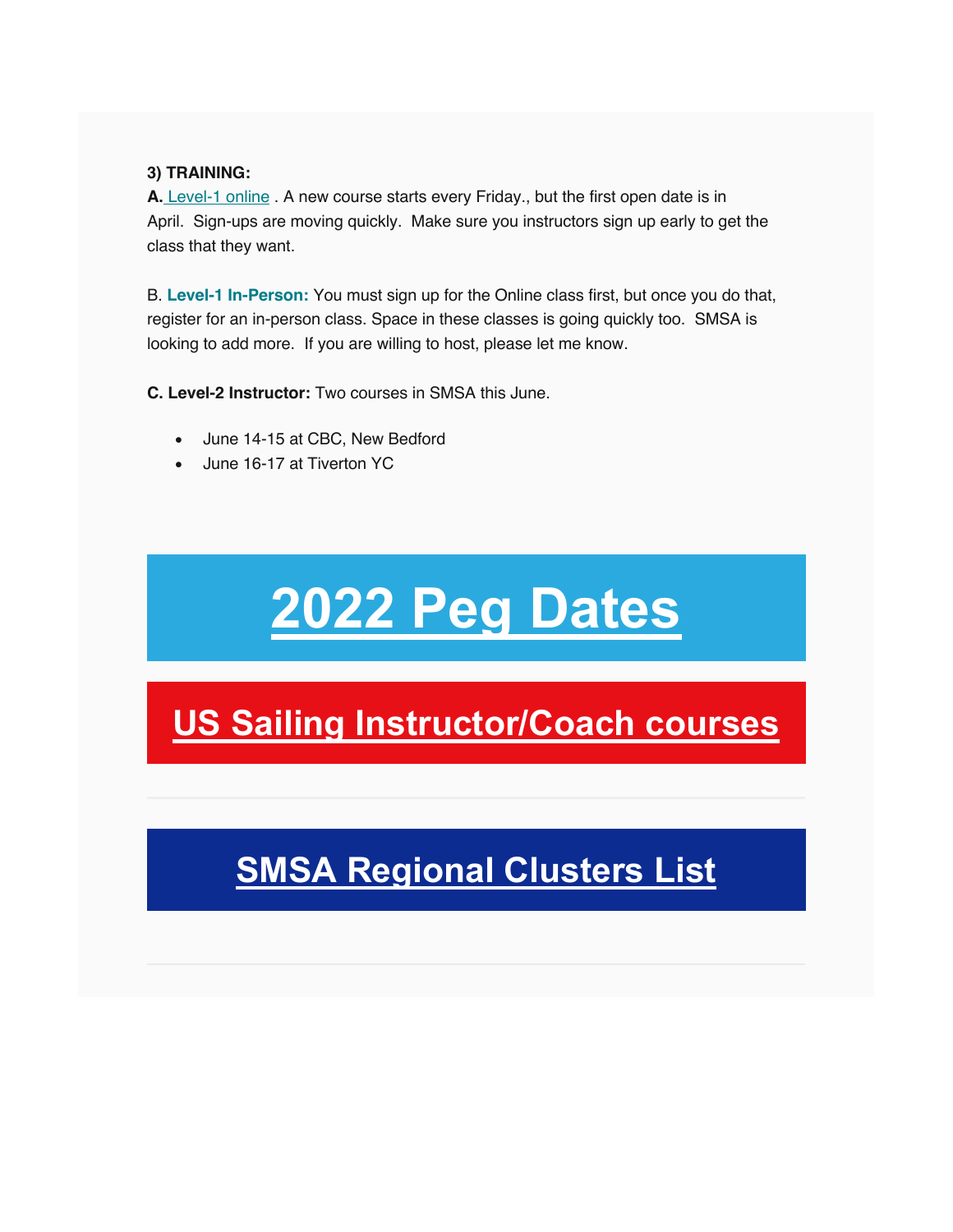#### **3) TRAINING:**

**A.** Level-1 online . A new course starts every Friday., but the first open date is in April. Sign-ups are moving quickly. Make sure you instructors sign up early to get the class that they want.

B. **Level-1 In-Person:** You must sign up for the Online class first, but once you do that, register for an in-person class. Space in these classes is going quickly too. SMSA is looking to add more. If you are willing to host, please let me know.

**C. Level-2 Instructor:** Two courses in SMSA this June.

- June 14-15 at CBC, New Bedford
- June 16-17 at Tiverton YC

# **2022 Peg Dates**

**US Sailing Instructor/Coach courses**

## **SMSA Regional Clusters List**